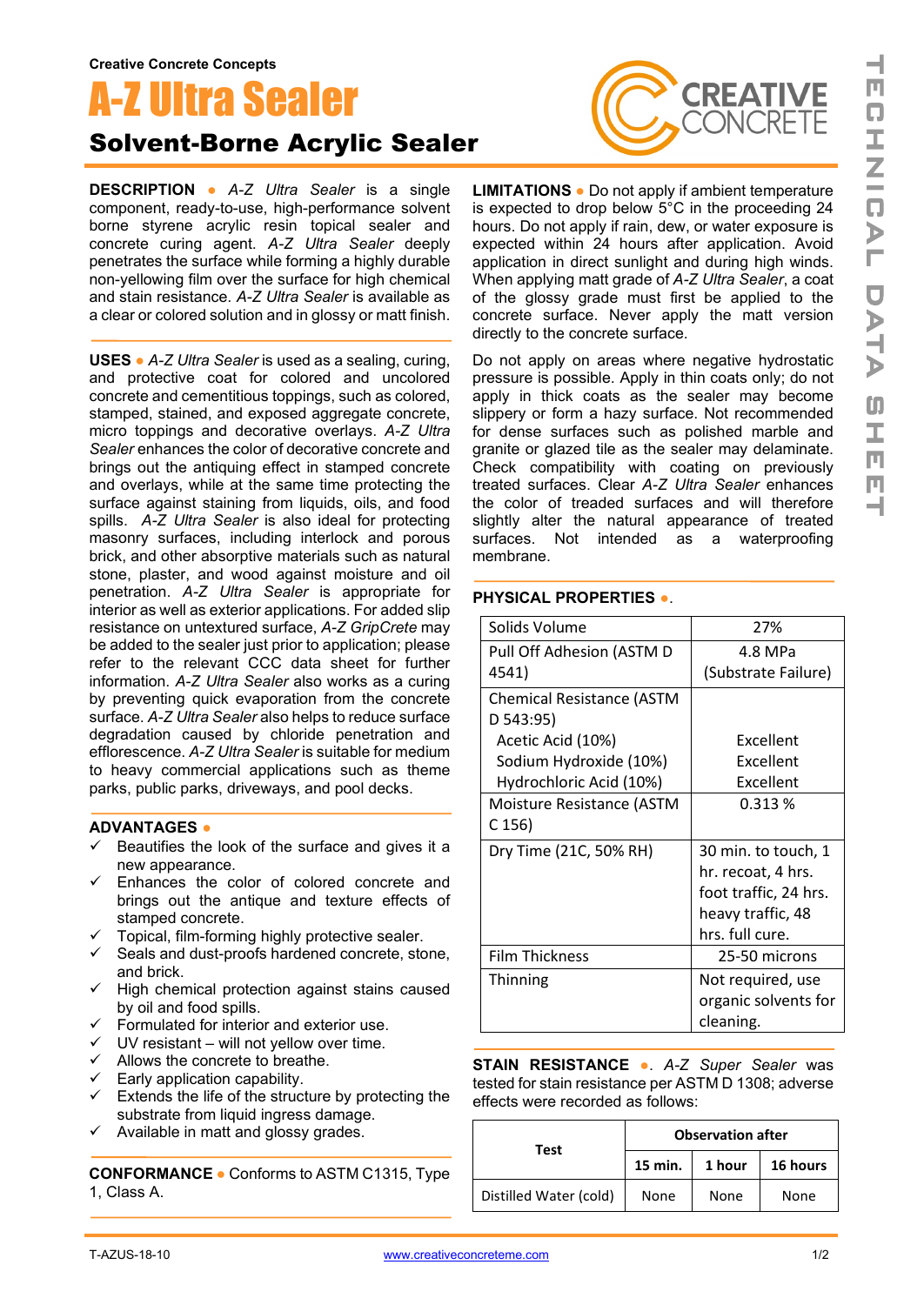# A-Z Ultra Sealer

## Solvent-Borne Acrylic Sealer

**DESCRIPTION ●** *A-Z Ultra Sealer* is a single component, ready-to-use, high-performance solvent borne styrene acrylic resin topical sealer and concrete curing agent. *A-Z Ultra Sealer* deeply penetrates the surface while forming a highly durable non-yellowing film over the surface for high chemical and stain resistance. *A-Z Ultra Sealer* is available as a clear or colored solution and in glossy or matt finish.

**USES ●** *A-Z Ultra Sealer* is used as a sealing, curing, and protective coat for colored and uncolored concrete and cementitious toppings, such as colored, stamped, stained, and exposed aggregate concrete, micro toppings and decorative overlays. *A-Z Ultra Sealer* enhances the color of decorative concrete and brings out the antiquing effect in stamped concrete and overlays, while at the same time protecting the surface against staining from liquids, oils, and food spills. *A-Z Ultra Sealer* is also ideal for protecting masonry surfaces, including interlock and porous brick, and other absorptive materials such as natural stone, plaster, and wood against moisture and oil penetration. *A-Z Ultra Sealer* is appropriate for interior as well as exterior applications. For added slip resistance on untextured surface, *A-Z GripCrete* may be added to the sealer just prior to application; please refer to the relevant CCC data sheet for further information. *A-Z Ultra Sealer* also works as a curing by preventing quick evaporation from the concrete surface. *A-Z Ultra Sealer* also helps to reduce surface degradation caused by chloride penetration and efflorescence. *A-Z Ultra Sealer* is suitable for medium to heavy commercial applications such as theme parks, public parks, driveways, and pool decks.

#### **ADVANTAGES ●**

- $\checkmark$  Beautifies the look of the surface and gives it a new appearance.
- $\checkmark$  Enhances the color of colored concrete and brings out the antique and texture effects of stamped concrete.
- $\checkmark$  Topical, film-forming highly protective sealer.
- $\checkmark$  Seals and dust-proofs hardened concrete, stone, and brick.
- $\checkmark$  High chemical protection against stains caused by oil and food spills.
- $\checkmark$  Formulated for interior and exterior use.
- $\checkmark$  UV resistant will not yellow over time.
- $\checkmark$  Allows the concrete to breathe.
- $\checkmark$  Early application capability.
- $\checkmark$  Extends the life of the structure by protecting the substrate from liquid ingress damage.
- $\checkmark$  Available in matt and glossy grades.

**CONFORMANCE ●** Conforms to ASTM C1315, Type 1, Class A.



**LIMITATIONS ●** Do not apply if ambient temperature is expected to drop below 5°C in the proceeding 24 hours. Do not apply if rain, dew, or water exposure is expected within 24 hours after application. Avoid application in direct sunlight and during high winds. When applying matt grade of *A-Z Ultra Sealer*, a coat of the glossy grade must first be applied to the concrete surface. Never apply the matt version directly to the concrete surface.

Do not apply on areas where negative hydrostatic pressure is possible. Apply in thin coats only; do not apply in thick coats as the sealer may become slippery or form a hazy surface. Not recommended for dense surfaces such as polished marble and granite or glazed tile as the sealer may delaminate. Check compatibility with coating on previously treated surfaces. Clear *A-Z Ultra Sealer* enhances the color of treaded surfaces and will therefore slightly alter the natural appearance of treated surfaces. Not intended as a waterproofing membrane.

#### **PHYSICAL PROPERTIES ●**.

| Solids Volume             | 27%                   |  |
|---------------------------|-----------------------|--|
| Pull Off Adhesion (ASTM D | 4.8 MPa               |  |
| 4541)                     | (Substrate Failure)   |  |
| Chemical Resistance (ASTM |                       |  |
| D 543:95)                 |                       |  |
| Acetic Acid (10%)         | Excellent             |  |
| Sodium Hydroxide (10%)    | Excellent             |  |
| Hydrochloric Acid (10%)   | Excellent             |  |
| Moisture Resistance (ASTM | 0.313%                |  |
| C 156)                    |                       |  |
| Dry Time (21C, 50% RH)    | 30 min. to touch, 1   |  |
|                           | hr. recoat, 4 hrs.    |  |
|                           | foot traffic, 24 hrs. |  |
|                           | heavy traffic, 48     |  |
|                           | hrs. full cure.       |  |
| <b>Film Thickness</b>     | 25-50 microns         |  |
| Thinning                  | Not required, use     |  |
|                           | organic solvents for  |  |
|                           | cleaning.             |  |

**STAIN RESISTANCE ●**. *A-Z Super Sealer* was tested for stain resistance per ASTM D 1308; adverse effects were recorded as follows:

| Test                   | <b>Observation after</b> |        |          |
|------------------------|--------------------------|--------|----------|
|                        | 15 min.                  | 1 hour | 16 hours |
| Distilled Water (cold) | None                     | None   | None     |